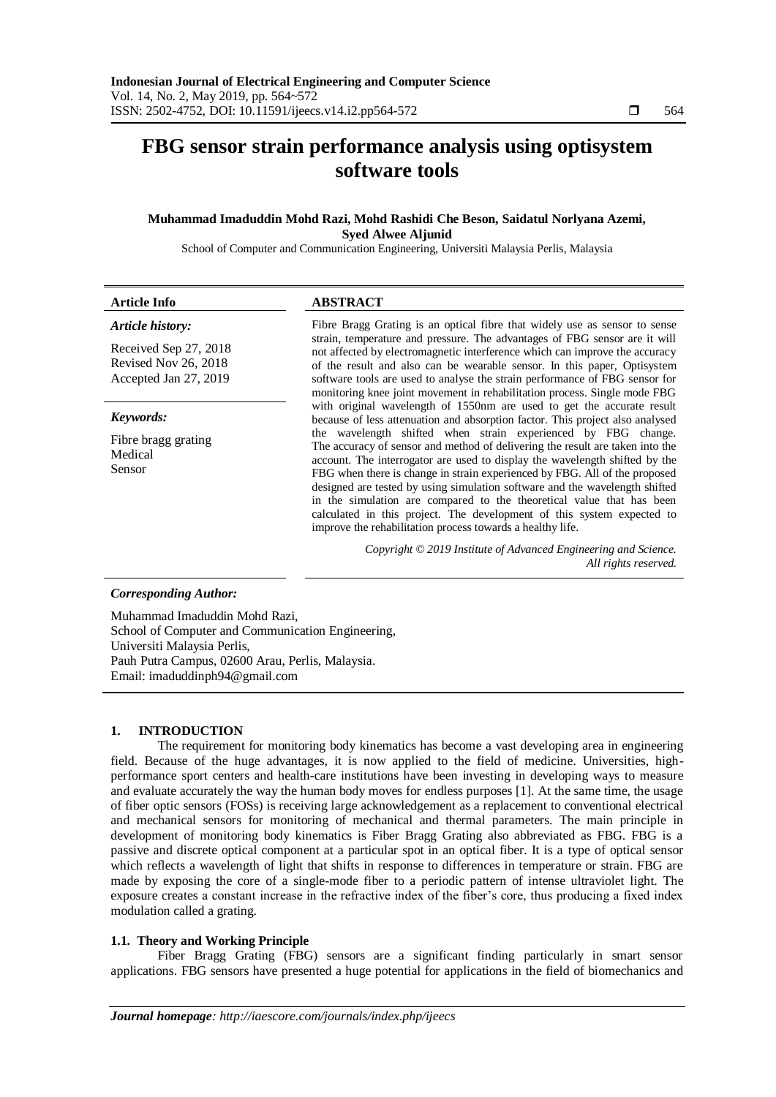# **FBG sensor strain performance analysis using optisystem software tools**

# **Muhammad Imaduddin Mohd Razi, Mohd Rashidi Che Beson, Saidatul Norlyana Azemi, Syed Alwee Aljunid**

School of Computer and Communication Engineering, Universiti Malaysia Perlis, Malaysia

| <b>Article Info</b>                                                                                                                                                  | <b>ABSTRACT</b>                                                                                                                                                                                                                                                                                                                                                                                                                                                                                                                                                                                                                                                                                                                                                                                                                                                                                                                                                                                                                                                                                                                                                                                                                                           |
|----------------------------------------------------------------------------------------------------------------------------------------------------------------------|-----------------------------------------------------------------------------------------------------------------------------------------------------------------------------------------------------------------------------------------------------------------------------------------------------------------------------------------------------------------------------------------------------------------------------------------------------------------------------------------------------------------------------------------------------------------------------------------------------------------------------------------------------------------------------------------------------------------------------------------------------------------------------------------------------------------------------------------------------------------------------------------------------------------------------------------------------------------------------------------------------------------------------------------------------------------------------------------------------------------------------------------------------------------------------------------------------------------------------------------------------------|
| Article history:<br>Received Sep 27, 2018<br>Revised Nov 26, 2018<br>Accepted Jan 27, 2019                                                                           | Fibre Bragg Grating is an optical fibre that widely use as sensor to sense<br>strain, temperature and pressure. The advantages of FBG sensor are it will<br>not affected by electromagnetic interference which can improve the accuracy<br>of the result and also can be wearable sensor. In this paper, Optisystem<br>software tools are used to analyse the strain performance of FBG sensor for<br>monitoring knee joint movement in rehabilitation process. Single mode FBG<br>with original wavelength of 1550nm are used to get the accurate result<br>because of less attenuation and absorption factor. This project also analysed<br>the wavelength shifted when strain experienced by FBG change.<br>The accuracy of sensor and method of delivering the result are taken into the<br>account. The interrogator are used to display the wavelength shifted by the<br>FBG when there is change in strain experienced by FBG. All of the proposed<br>designed are tested by using simulation software and the wavelength shifted<br>in the simulation are compared to the theoretical value that has been<br>calculated in this project. The development of this system expected to<br>improve the rehabilitation process towards a healthy life. |
| Keywords:<br>Fibre bragg grating<br>Medical<br>Sensor                                                                                                                |                                                                                                                                                                                                                                                                                                                                                                                                                                                                                                                                                                                                                                                                                                                                                                                                                                                                                                                                                                                                                                                                                                                                                                                                                                                           |
|                                                                                                                                                                      | Copyright © 2019 Institute of Advanced Engineering and Science.<br>All rights reserved.                                                                                                                                                                                                                                                                                                                                                                                                                                                                                                                                                                                                                                                                                                                                                                                                                                                                                                                                                                                                                                                                                                                                                                   |
| <b>Corresponding Author:</b>                                                                                                                                         |                                                                                                                                                                                                                                                                                                                                                                                                                                                                                                                                                                                                                                                                                                                                                                                                                                                                                                                                                                                                                                                                                                                                                                                                                                                           |
| Muhammad Imaduddin Mohd Razi,<br>$\mathbf{0}$ . I . I . $\mathbf{0}$ . $\ldots$ . I . I $\mathbf{0}$ . $\ldots$ . I . I . I . I $\ldots$ . The state of $\mathbf{0}$ |                                                                                                                                                                                                                                                                                                                                                                                                                                                                                                                                                                                                                                                                                                                                                                                                                                                                                                                                                                                                                                                                                                                                                                                                                                                           |

School of Computer and Communication Engineering, Universiti Malaysia Perlis, Pauh Putra Campus, 02600 Arau, Perlis, Malaysia. Email: imaduddinph94@gmail.com

# **1. INTRODUCTION**

The requirement for monitoring body kinematics has become a vast developing area in engineering field. Because of the huge advantages, it is now applied to the field of medicine. Universities, highperformance sport centers and health-care institutions have been investing in developing ways to measure and evaluate accurately the way the human body moves for endless purposes [1]. At the same time, the usage of fiber optic sensors (FOSs) is receiving large acknowledgement as a replacement to conventional electrical and mechanical sensors for monitoring of mechanical and thermal parameters. The main principle in development of monitoring body kinematics is Fiber Bragg Grating also abbreviated as FBG. FBG is a passive and discrete optical component at a particular spot in an optical fiber. It is a type of optical sensor which reflects a wavelength of light that shifts in response to differences in temperature or strain. FBG are made by exposing the core of a single-mode fiber to a periodic pattern of intense ultraviolet light. The exposure creates a constant increase in the refractive index of the fiber's core, thus producing a fixed index modulation called a grating.

# **1.1. Theory and Working Principle**

Fiber Bragg Grating (FBG) sensors are a significant finding particularly in smart sensor applications. FBG sensors have presented a huge potential for applications in the field of biomechanics and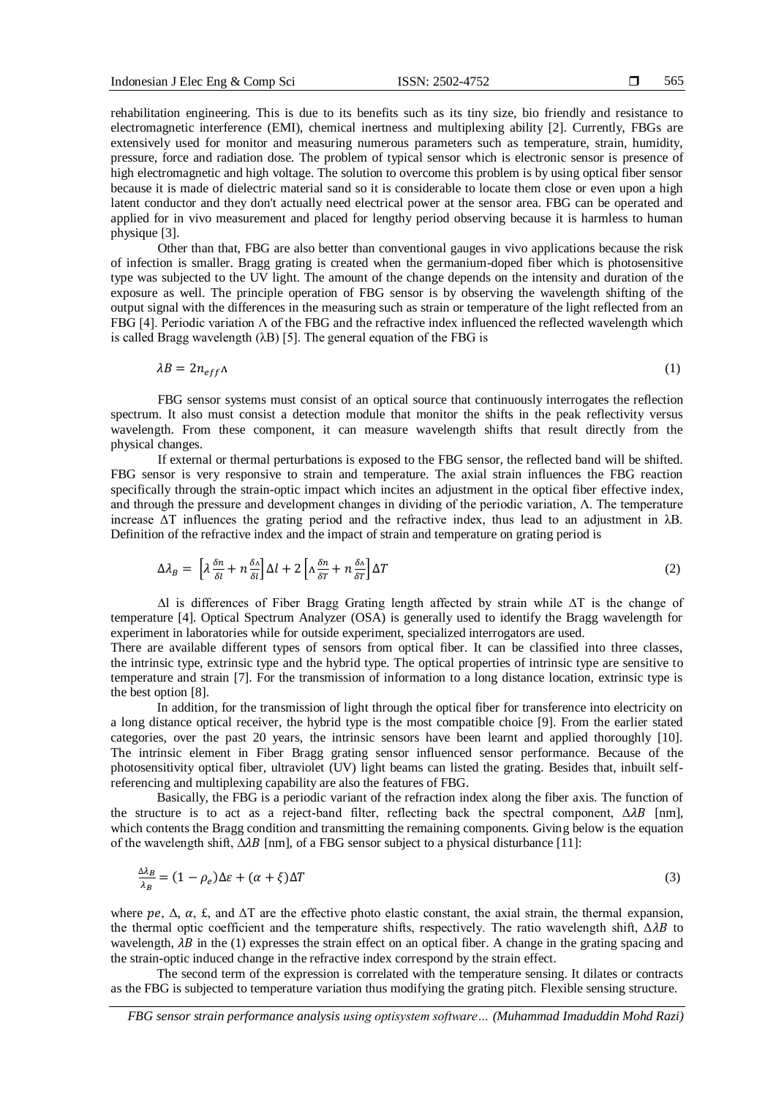rehabilitation engineering. This is due to its benefits such as its tiny size, bio friendly and resistance to electromagnetic interference (EMI), chemical inertness and multiplexing ability [2]. Currently, FBGs are extensively used for monitor and measuring numerous parameters such as temperature, strain, humidity, pressure, force and radiation dose. The problem of typical sensor which is electronic sensor is presence of high electromagnetic and high voltage. The solution to overcome this problem is by using optical fiber sensor because it is made of dielectric material sand so it is considerable to locate them close or even upon a high latent conductor and they don't actually need electrical power at the sensor area. FBG can be operated and applied for in vivo measurement and placed for lengthy period observing because it is harmless to human physique [3].

Other than that, FBG are also better than conventional gauges in vivo applications because the risk of infection is smaller. Bragg grating is created when the germanium-doped fiber which is photosensitive type was subjected to the UV light. The amount of the change depends on the intensity and duration of the exposure as well. The principle operation of FBG sensor is by observing the wavelength shifting of the output signal with the differences in the measuring such as strain or temperature of the light reflected from an FBG [4]. Periodic variation Λ of the FBG and the refractive index influenced the reflected wavelength which is called Bragg wavelength  $(\lambda B)$  [5]. The general equation of the FBG is

$$
\lambda B = 2n_{eff}\Lambda \tag{1}
$$

FBG sensor systems must consist of an optical source that continuously interrogates the reflection spectrum. It also must consist a detection module that monitor the shifts in the peak reflectivity versus wavelength. From these component, it can measure wavelength shifts that result directly from the physical changes.

If external or thermal perturbations is exposed to the FBG sensor, the reflected band will be shifted. FBG sensor is very responsive to strain and temperature. The axial strain influences the FBG reaction specifically through the strain-optic impact which incites an adjustment in the optical fiber effective index, and through the pressure and development changes in dividing of the periodic variation,  $\Lambda$ . The temperature increase  $\Delta T$  influences the grating period and the refractive index, thus lead to an adjustment in  $\lambda B$ . Definition of the refractive index and the impact of strain and temperature on grating period is

$$
\Delta \lambda_B = \left[ \lambda \frac{\delta n}{\delta l} + n \frac{\delta \lambda}{\delta l} \right] \Delta l + 2 \left[ \lambda \frac{\delta n}{\delta T} + n \frac{\delta \lambda}{\delta T} \right] \Delta T \tag{2}
$$

∆l is differences of Fiber Bragg Grating length affected by strain while ∆T is the change of temperature [4]. Optical Spectrum Analyzer (OSA) is generally used to identify the Bragg wavelength for experiment in laboratories while for outside experiment, specialized interrogators are used.

There are available different types of sensors from optical fiber. It can be classified into three classes, the intrinsic type, extrinsic type and the hybrid type. The optical properties of intrinsic type are sensitive to temperature and strain [7]. For the transmission of information to a long distance location, extrinsic type is the best option [8].

In addition, for the transmission of light through the optical fiber for transference into electricity on a long distance optical receiver, the hybrid type is the most compatible choice [9]. From the earlier stated categories, over the past 20 years, the intrinsic sensors have been learnt and applied thoroughly [10]. The intrinsic element in Fiber Bragg grating sensor influenced sensor performance. Because of the photosensitivity optical fiber, ultraviolet (UV) light beams can listed the grating. Besides that, inbuilt selfreferencing and multiplexing capability are also the features of FBG.

Basically, the FBG is a periodic variant of the refraction index along the fiber axis. The function of the structure is to act as a reject-band filter, reflecting back the spectral component,  $\Delta \lambda B$  [nm], which contents the Bragg condition and transmitting the remaining components. Giving below is the equation of the wavelength shift,  $\Delta \lambda B$  [nm], of a FBG sensor subject to a physical disturbance [11]:

$$
\frac{\Delta \lambda_B}{\lambda_B} = (1 - \rho_e) \Delta \varepsilon + (\alpha + \xi) \Delta T \tag{3}
$$

where  $pe$ ,  $\Delta$ ,  $\alpha$ ,  $\pounds$ , and  $\Delta T$  are the effective photo elastic constant, the axial strain, the thermal expansion, the thermal optic coefficient and the temperature shifts, respectively. The ratio wavelength shift,  $\Delta \lambda B$  to wavelength,  $\lambda B$  in the (1) expresses the strain effect on an optical fiber. A change in the grating spacing and the strain-optic induced change in the refractive index correspond by the strain effect.

The second term of the expression is correlated with the temperature sensing. It dilates or contracts as the FBG is subjected to temperature variation thus modifying the grating pitch. Flexible sensing structure.

*FBG sensor strain performance analysis using optisystem software… (Muhammad Imaduddin Mohd Razi)*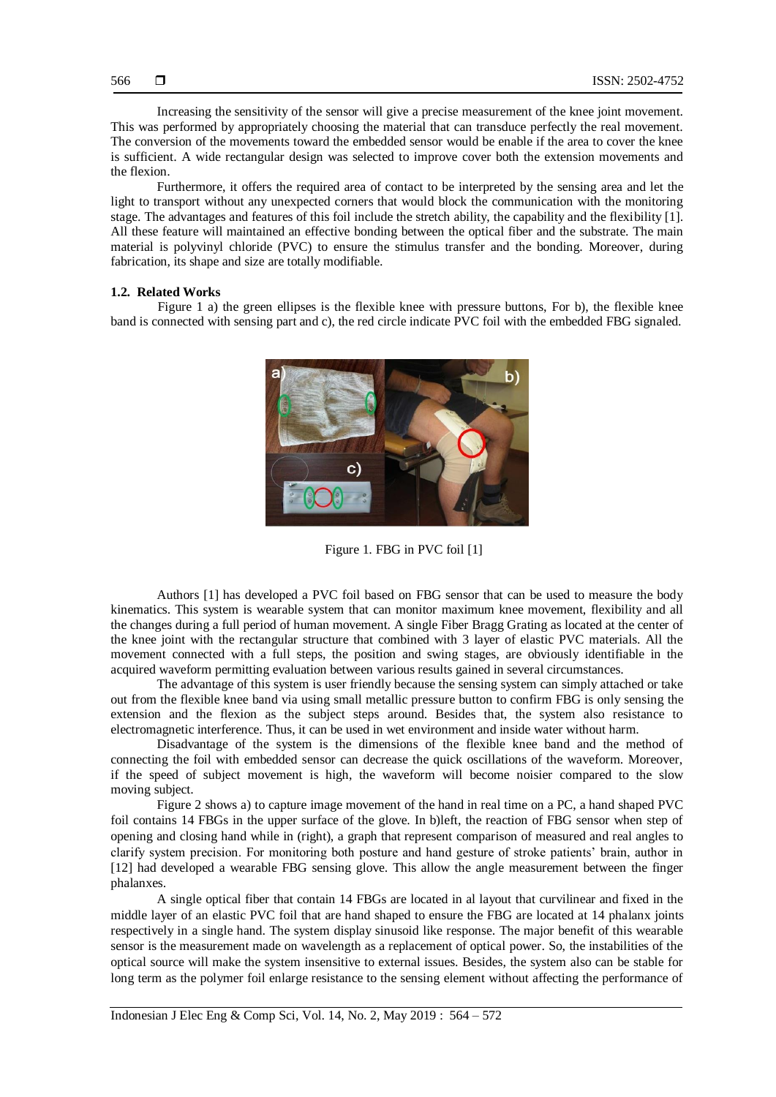Increasing the sensitivity of the sensor will give a precise measurement of the knee joint movement. This was performed by appropriately choosing the material that can transduce perfectly the real movement. The conversion of the movements toward the embedded sensor would be enable if the area to cover the knee is sufficient. A wide rectangular design was selected to improve cover both the extension movements and the flexion.

Furthermore, it offers the required area of contact to be interpreted by the sensing area and let the light to transport without any unexpected corners that would block the communication with the monitoring stage. The advantages and features of this foil include the stretch ability, the capability and the flexibility [1]. All these feature will maintained an effective bonding between the optical fiber and the substrate. The main material is polyvinyl chloride (PVC) to ensure the stimulus transfer and the bonding. Moreover, during fabrication, its shape and size are totally modifiable.

# **1.2. Related Works**

Figure 1 a) the green ellipses is the flexible knee with pressure buttons, For b), the flexible knee band is connected with sensing part and c), the red circle indicate PVC foil with the embedded FBG signaled.



Figure 1. FBG in PVC foil [1]

Authors [1] has developed a PVC foil based on FBG sensor that can be used to measure the body kinematics. This system is wearable system that can monitor maximum knee movement, flexibility and all the changes during a full period of human movement. A single Fiber Bragg Grating as located at the center of the knee joint with the rectangular structure that combined with 3 layer of elastic PVC materials. All the movement connected with a full steps, the position and swing stages, are obviously identifiable in the acquired waveform permitting evaluation between various results gained in several circumstances.

The advantage of this system is user friendly because the sensing system can simply attached or take out from the flexible knee band via using small metallic pressure button to confirm FBG is only sensing the extension and the flexion as the subject steps around. Besides that, the system also resistance to electromagnetic interference. Thus, it can be used in wet environment and inside water without harm.

Disadvantage of the system is the dimensions of the flexible knee band and the method of connecting the foil with embedded sensor can decrease the quick oscillations of the waveform. Moreover, if the speed of subject movement is high, the waveform will become noisier compared to the slow moving subject.

Figure 2 shows a) to capture image movement of the hand in real time on a PC, a hand shaped PVC foil contains 14 FBGs in the upper surface of the glove. In b)left, the reaction of FBG sensor when step of opening and closing hand while in (right), a graph that represent comparison of measured and real angles to clarify system precision. For monitoring both posture and hand gesture of stroke patients' brain, author in [12] had developed a wearable FBG sensing glove. This allow the angle measurement between the finger phalanxes.

A single optical fiber that contain 14 FBGs are located in al layout that curvilinear and fixed in the middle layer of an elastic PVC foil that are hand shaped to ensure the FBG are located at 14 phalanx joints respectively in a single hand. The system display sinusoid like response. The major benefit of this wearable sensor is the measurement made on wavelength as a replacement of optical power. So, the instabilities of the optical source will make the system insensitive to external issues. Besides, the system also can be stable for long term as the polymer foil enlarge resistance to the sensing element without affecting the performance of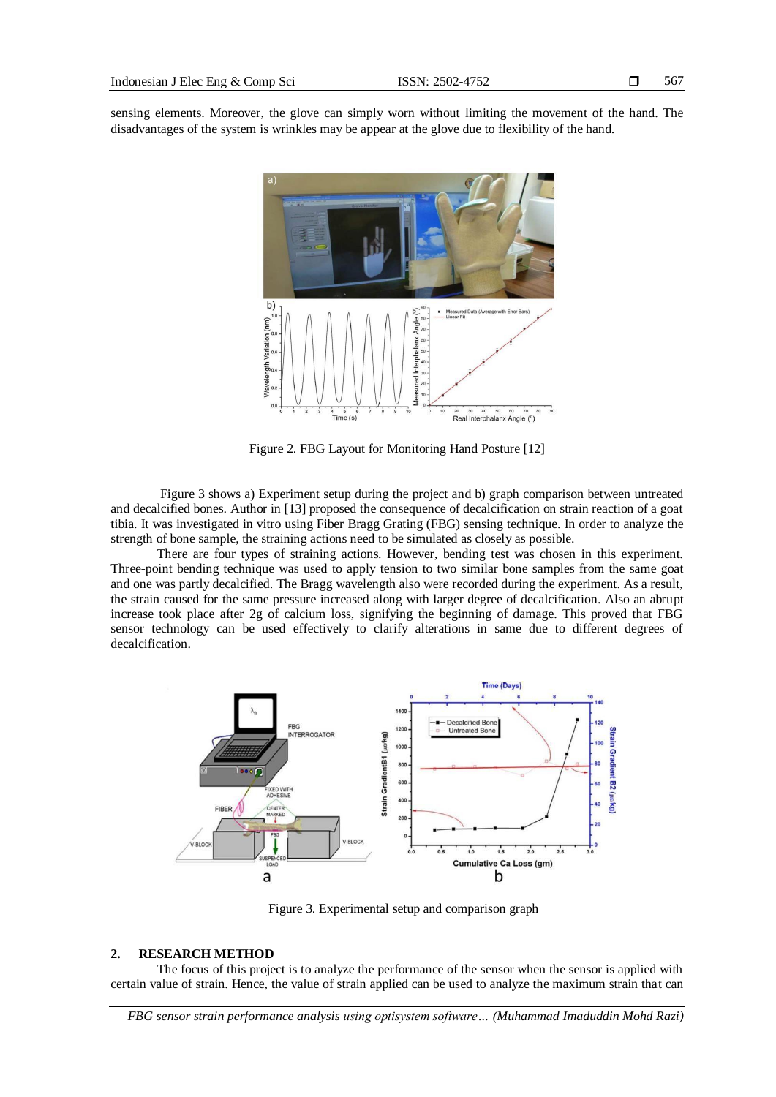sensing elements. Moreover, the glove can simply worn without limiting the movement of the hand. The disadvantages of the system is wrinkles may be appear at the glove due to flexibility of the hand.



Figure 2. FBG Layout for Monitoring Hand Posture [12]

Figure 3 shows a) Experiment setup during the project and b) graph comparison between untreated and decalcified bones. Author in [13] proposed the consequence of decalcification on strain reaction of a goat tibia. It was investigated in vitro using Fiber Bragg Grating (FBG) sensing technique. In order to analyze the strength of bone sample, the straining actions need to be simulated as closely as possible.

There are four types of straining actions. However, bending test was chosen in this experiment. Three-point bending technique was used to apply tension to two similar bone samples from the same goat and one was partly decalcified. The Bragg wavelength also were recorded during the experiment. As a result, the strain caused for the same pressure increased along with larger degree of decalcification. Also an abrupt increase took place after 2g of calcium loss, signifying the beginning of damage. This proved that FBG sensor technology can be used effectively to clarify alterations in same due to different degrees of decalcification.



Figure 3. Experimental setup and comparison graph

# **2. RESEARCH METHOD**

The focus of this project is to analyze the performance of the sensor when the sensor is applied with certain value of strain. Hence, the value of strain applied can be used to analyze the maximum strain that can

*FBG sensor strain performance analysis using optisystem software… (Muhammad Imaduddin Mohd Razi)*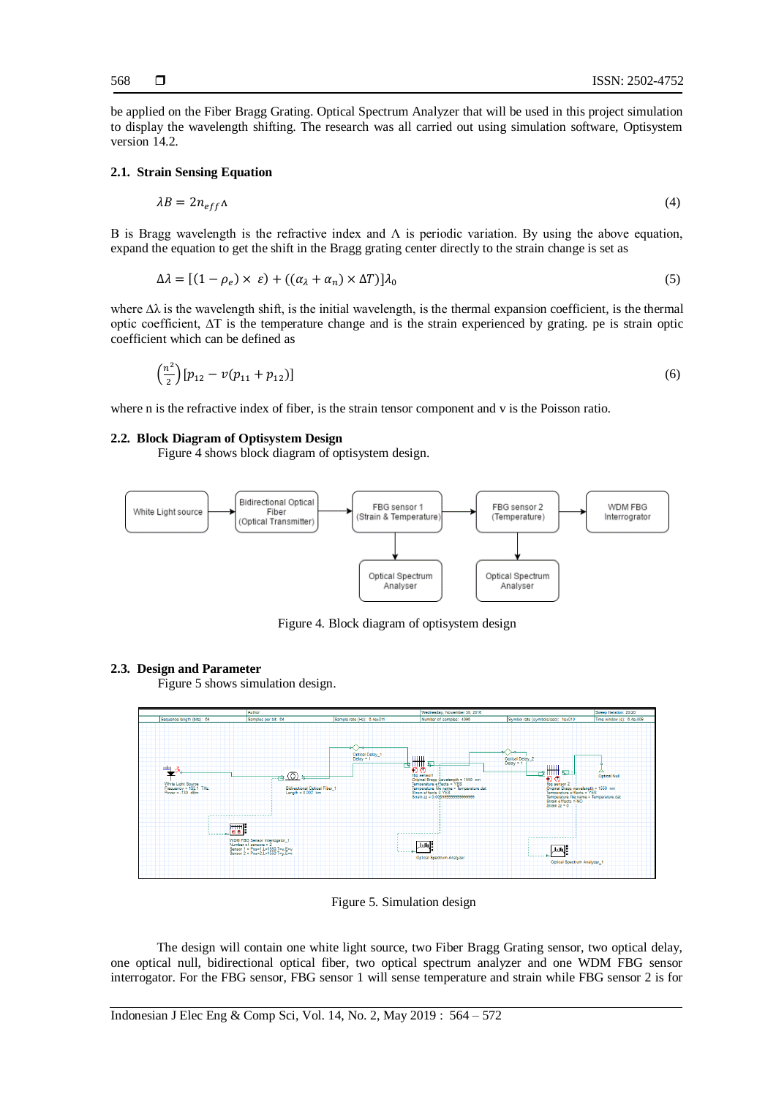be applied on the Fiber Bragg Grating. Optical Spectrum Analyzer that will be used in this project simulation to display the wavelength shifting. The research was all carried out using simulation software, Optisystem version 14.2.

# **2.1. Strain Sensing Equation**

$$
\lambda B = 2n_{eff}\Lambda \tag{4}
$$

B is Bragg wavelength is the refractive index and  $\Lambda$  is periodic variation. By using the above equation, expand the equation to get the shift in the Bragg grating center directly to the strain change is set as

$$
\Delta \lambda = [(1 - \rho_e) \times \varepsilon) + ((\alpha_\lambda + \alpha_n) \times \Delta T)] \lambda_0 \tag{5}
$$

where  $\Delta\lambda$  is the wavelength shift, is the initial wavelength, is the thermal expansion coefficient, is the thermal optic coefficient, ∆T is the temperature change and is the strain experienced by grating. pe is strain optic coefficient which can be defined as

$$
\left(\frac{n^2}{2}\right)[p_{12} - v(p_{11} + p_{12})] \tag{6}
$$

where n is the refractive index of fiber, is the strain tensor component and v is the Poisson ratio.

# **2.2. Block Diagram of Optisystem Design**

Figure 4 shows block diagram of optisystem design.



Figure 4. Block diagram of optisystem design

#### **2.3. Design and Parameter**

Figure 5 shows simulation design.



Figure 5. Simulation design

The design will contain one white light source, two Fiber Bragg Grating sensor, two optical delay, one optical null, bidirectional optical fiber, two optical spectrum analyzer and one WDM FBG sensor interrogator. For the FBG sensor, FBG sensor 1 will sense temperature and strain while FBG sensor 2 is for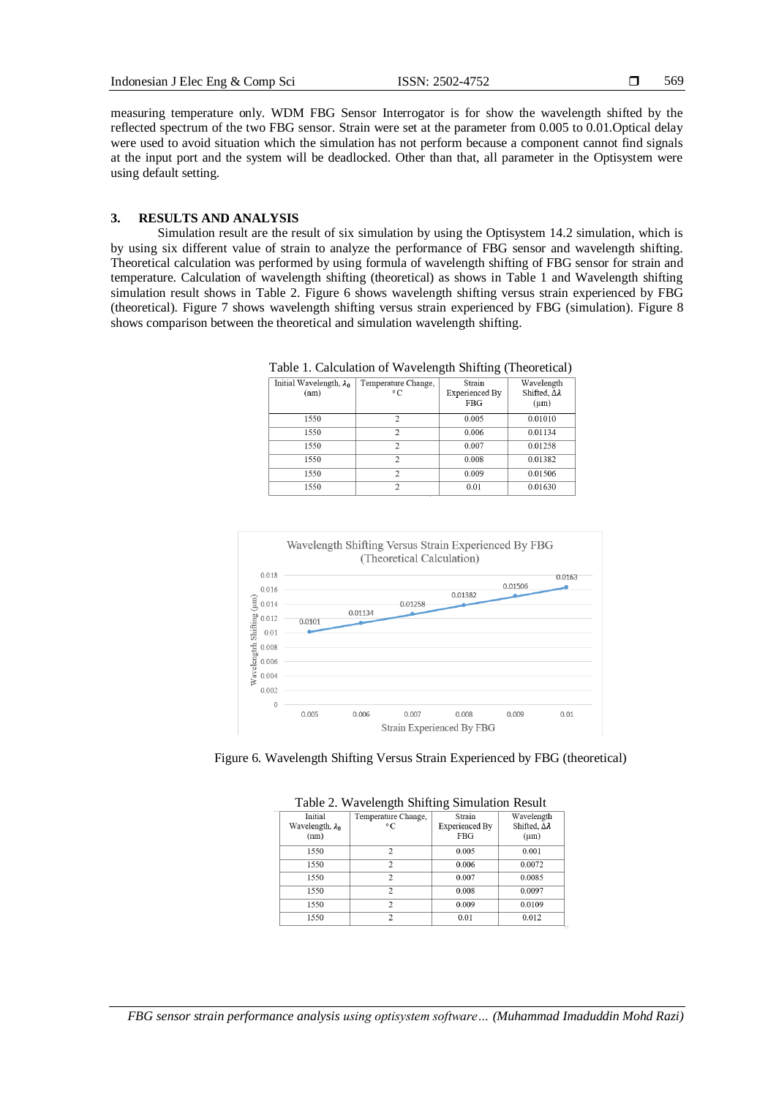569

measuring temperature only. WDM FBG Sensor Interrogator is for show the wavelength shifted by the reflected spectrum of the two FBG sensor. Strain were set at the parameter from 0.005 to 0.01.Optical delay were used to avoid situation which the simulation has not perform because a component cannot find signals at the input port and the system will be deadlocked. Other than that, all parameter in the Optisystem were using default setting.

## **3. RESULTS AND ANALYSIS**

Simulation result are the result of six simulation by using the Optisystem 14.2 simulation, which is by using six different value of strain to analyze the performance of FBG sensor and wavelength shifting. Theoretical calculation was performed by using formula of wavelength shifting of FBG sensor for strain and temperature. Calculation of wavelength shifting (theoretical) as shows in Table 1 and Wavelength shifting simulation result shows in Table 2. Figure 6 shows wavelength shifting versus strain experienced by FBG (theoretical). Figure 7 shows wavelength shifting versus strain experienced by FBG (simulation). Figure 8 shows comparison between the theoretical and simulation wavelength shifting.

| Initial Wavelength, $\lambda_0$ | Temperature Change, | Strain                | Wavelength                |
|---------------------------------|---------------------|-----------------------|---------------------------|
| (nm)                            | $\rm ^{\circ}C$     | <b>Experienced By</b> | Shifted, $\Delta \lambda$ |
|                                 |                     | <b>FBG</b>            | $(\mu m)$                 |
| 1550                            | 2                   | 0.005                 | 0.01010                   |
| 1550                            | 2                   | 0.006                 | 0.01134                   |
| 1550                            | $\mathfrak{D}$      | 0.007                 | 0.01258                   |
| 1550                            | $\mathcal{D}$       | 0.008                 | 0.01382                   |
| 1550                            | 7                   | 0.009                 | 0.01506                   |
| 1550                            | $\mathfrak{D}$      | 0.01                  | 0.01630                   |

Table 1. Calculation of Wavelength Shifting (Theoretical)

Wavelength Shifting Versus Strain Experienced By FBG (Theoretical Calculation) 0.018 0.0163 0.01506  $0.016$ 0.01382  $\mathbf{F}$  0.014 0.01258 0.01134 Shifting  $0.012$  $0.0101$  $0.01$ Wavelengtrh  $0.008$  $0.006$  $0.004$  $0.002$  $\mathbf{0}$  $0.005$  $0.006$  $0.007$  $0.008$  $0.009$  $0.01$ Strain Experienced By FBG



|                         | Table 2. Wavelength Shifting Simulation Result |                       |                           |
|-------------------------|------------------------------------------------|-----------------------|---------------------------|
| Initial                 | Temperature Change,                            | Strain                | Wavelength                |
| Wavelength, $\lambda_0$ | $^{\circ}$ C                                   | <b>Experienced By</b> | Shifted, $\Delta \lambda$ |
| (nm)                    |                                                | <b>FBG</b>            | $(\mu m)$                 |
| 1550                    | $\mathfrak{D}$                                 | 0.005                 | 0.001                     |
| 1550                    | $\mathfrak{D}$                                 | 0.006                 | 0.0072                    |
| 1550                    | $\mathcal{D}$                                  | 0.007                 | 0.0085                    |
| 1550                    | $\mathfrak{D}$                                 | 0.008                 | 0.0097                    |
| 1550                    | $\mathfrak{D}$                                 | 0.009                 | 0.0109                    |
| 1550                    | $\mathfrak{D}$                                 | 0.01                  | 0.012                     |

|  | Table 2. Wavelength Shifting Simulation Result |
|--|------------------------------------------------|
|  |                                                |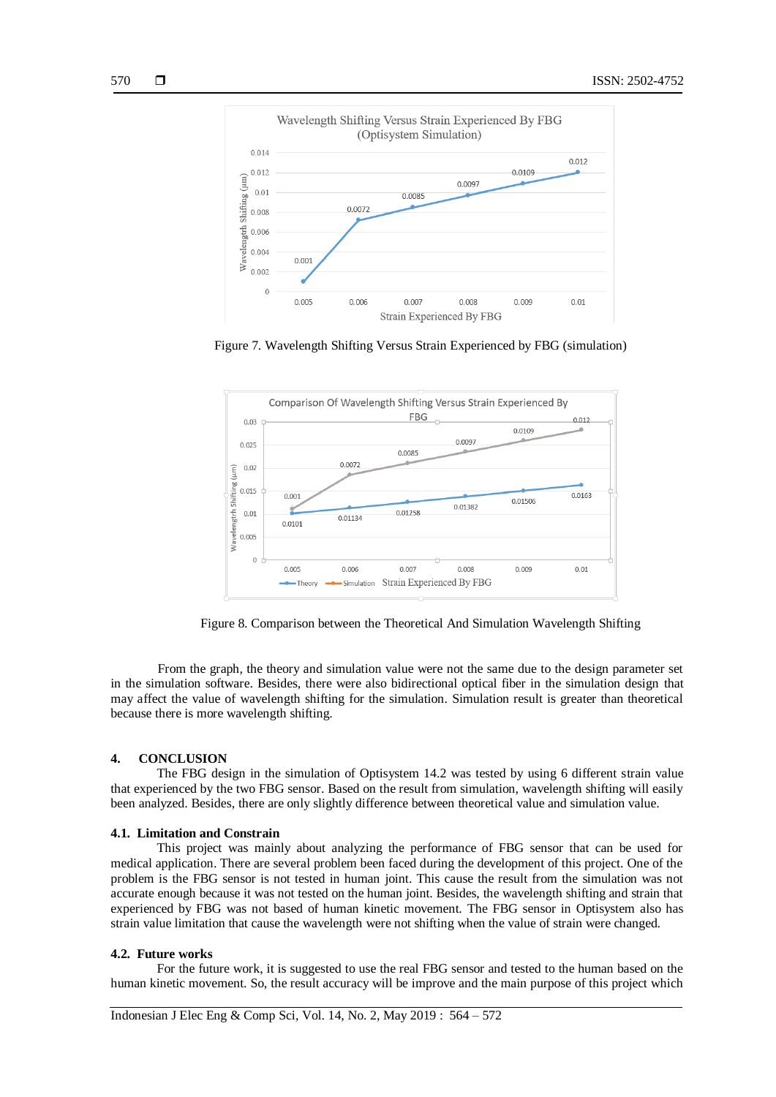

Figure 7. Wavelength Shifting Versus Strain Experienced by FBG (simulation)



Figure 8. Comparison between the Theoretical And Simulation Wavelength Shifting

From the graph, the theory and simulation value were not the same due to the design parameter set in the simulation software. Besides, there were also bidirectional optical fiber in the simulation design that may affect the value of wavelength shifting for the simulation. Simulation result is greater than theoretical because there is more wavelength shifting.

## **4. CONCLUSION**

The FBG design in the simulation of Optisystem 14.2 was tested by using 6 different strain value that experienced by the two FBG sensor. Based on the result from simulation, wavelength shifting will easily been analyzed. Besides, there are only slightly difference between theoretical value and simulation value.

# **4.1. Limitation and Constrain**

This project was mainly about analyzing the performance of FBG sensor that can be used for medical application. There are several problem been faced during the development of this project. One of the problem is the FBG sensor is not tested in human joint. This cause the result from the simulation was not accurate enough because it was not tested on the human joint. Besides, the wavelength shifting and strain that experienced by FBG was not based of human kinetic movement. The FBG sensor in Optisystem also has strain value limitation that cause the wavelength were not shifting when the value of strain were changed.

# **4.2. Future works**

For the future work, it is suggested to use the real FBG sensor and tested to the human based on the human kinetic movement. So, the result accuracy will be improve and the main purpose of this project which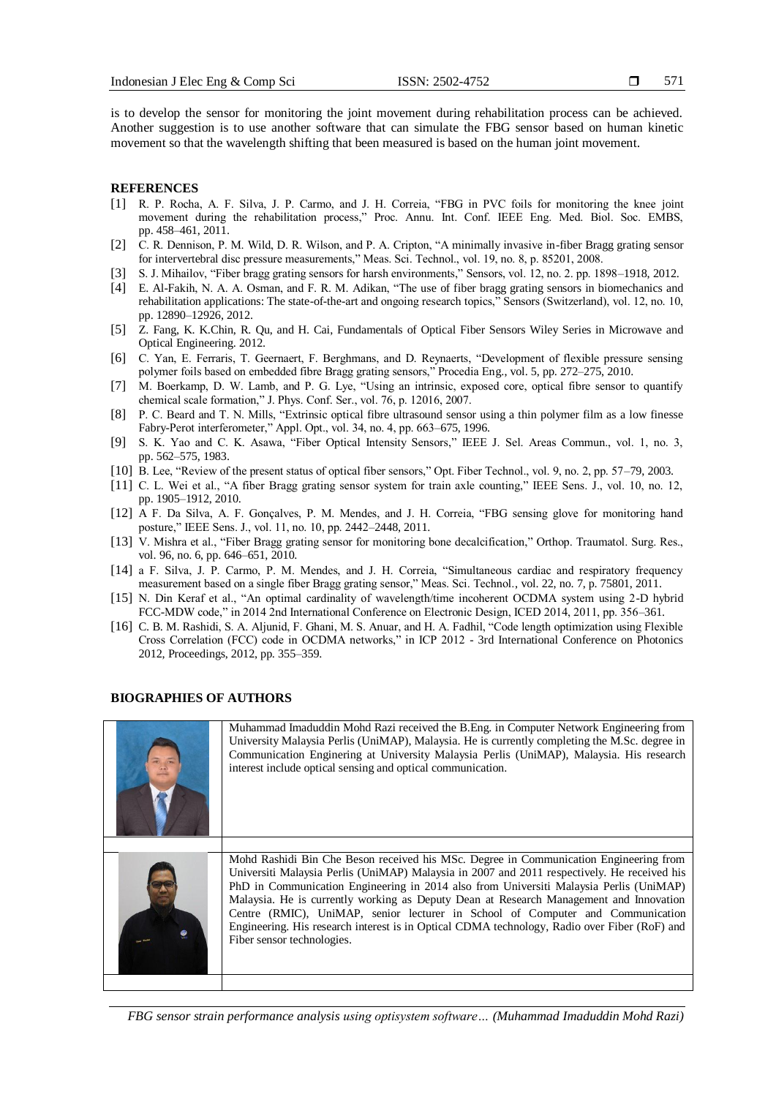571

is to develop the sensor for monitoring the joint movement during rehabilitation process can be achieved. Another suggestion is to use another software that can simulate the FBG sensor based on human kinetic movement so that the wavelength shifting that been measured is based on the human joint movement.

# **REFERENCES**

- [1] R. P. Rocha, A. F. Silva, J. P. Carmo, and J. H. Correia, "FBG in PVC foils for monitoring the knee joint movement during the rehabilitation process," Proc. Annu. Int. Conf. IEEE Eng. Med. Biol. Soc. EMBS, pp. 458–461, 2011.
- [2] C. R. Dennison, P. M. Wild, D. R. Wilson, and P. A. Cripton, "A minimally invasive in-fiber Bragg grating sensor for intervertebral disc pressure measurements," Meas. Sci. Technol., vol. 19, no. 8, p. 85201, 2008.
- [3] S. J. Mihailov, "Fiber bragg grating sensors for harsh environments," Sensors, vol. 12, no. 2. pp. 1898–1918, 2012.
- [4] E. Al-Fakih, N. A. A. Osman, and F. R. M. Adikan, "The use of fiber bragg grating sensors in biomechanics and rehabilitation applications: The state-of-the-art and ongoing research topics," Sensors (Switzerland), vol. 12, no. 10, pp. 12890–12926, 2012.
- [5] Z. Fang, K. K.Chin, R. Qu, and H. Cai, Fundamentals of Optical Fiber Sensors Wiley Series in Microwave and Optical Engineering. 2012.
- [6] C. Yan, E. Ferraris, T. Geernaert, F. Berghmans, and D. Reynaerts, "Development of flexible pressure sensing polymer foils based on embedded fibre Bragg grating sensors," Procedia Eng., vol. 5, pp. 272–275, 2010.
- [7] M. Boerkamp, D. W. Lamb, and P. G. Lye, "Using an intrinsic, exposed core, optical fibre sensor to quantify chemical scale formation," J. Phys. Conf. Ser., vol. 76, p. 12016, 2007.
- [8] P. C. Beard and T. N. Mills, "Extrinsic optical fibre ultrasound sensor using a thin polymer film as a low finesse Fabry-Perot interferometer," Appl. Opt., vol. 34, no. 4, pp. 663–675, 1996.
- [9] S. K. Yao and C. K. Asawa, "Fiber Optical Intensity Sensors," IEEE J. Sel. Areas Commun., vol. 1, no. 3, pp. 562–575, 1983.
- [10] B. Lee, "Review of the present status of optical fiber sensors," Opt. Fiber Technol., vol. 9, no. 2, pp. 57–79, 2003.
- [11] C. L. Wei et al., "A fiber Bragg grating sensor system for train axle counting," IEEE Sens. J., vol. 10, no. 12, pp. 1905–1912, 2010.
- [12] A F. Da Silva, A. F. Gonçalves, P. M. Mendes, and J. H. Correia, "FBG sensing glove for monitoring hand posture," IEEE Sens. J., vol. 11, no. 10, pp. 2442–2448, 2011.
- [13] V. Mishra et al., "Fiber Bragg grating sensor for monitoring bone decalcification," Orthop. Traumatol. Surg. Res., vol. 96, no. 6, pp. 646–651, 2010.
- [14] a F. Silva, J. P. Carmo, P. M. Mendes, and J. H. Correia, "Simultaneous cardiac and respiratory frequency measurement based on a single fiber Bragg grating sensor," Meas. Sci. Technol., vol. 22, no. 7, p. 75801, 2011.
- [15] N. Din Keraf et al., "An optimal cardinality of wavelength/time incoherent OCDMA system using 2-D hybrid FCC-MDW code," in 2014 2nd International Conference on Electronic Design, ICED 2014, 2011, pp. 356–361.
- [16] C. B. M. Rashidi, S. A. Aljunid, F. Ghani, M. S. Anuar, and H. A. Fadhil, "Code length optimization using Flexible Cross Correlation (FCC) code in OCDMA networks," in ICP 2012 - 3rd International Conference on Photonics 2012, Proceedings, 2012, pp. 355–359.

# **BIOGRAPHIES OF AUTHORS**

| Muhammad Imaduddin Mohd Razi received the B.Eng. in Computer Network Engineering from<br>University Malaysia Perlis (UniMAP), Malaysia. He is currently completing the M.Sc. degree in<br>Communication Enginering at University Malaysia Perlis (UniMAP), Malaysia. His research<br>interest include optical sensing and optical communication.                                                                                                                                                                                                                                         |
|------------------------------------------------------------------------------------------------------------------------------------------------------------------------------------------------------------------------------------------------------------------------------------------------------------------------------------------------------------------------------------------------------------------------------------------------------------------------------------------------------------------------------------------------------------------------------------------|
|                                                                                                                                                                                                                                                                                                                                                                                                                                                                                                                                                                                          |
| Mohd Rashidi Bin Che Beson received his MSc. Degree in Communication Engineering from<br>Universiti Malaysia Perlis (UniMAP) Malaysia in 2007 and 2011 respectively. He received his<br>PhD in Communication Engineering in 2014 also from Universiti Malaysia Perlis (UniMAP)<br>Malaysia. He is currently working as Deputy Dean at Research Management and Innovation<br>Centre (RMIC), UniMAP, senior lecturer in School of Computer and Communication<br>Engineering. His research interest is in Optical CDMA technology, Radio over Fiber (RoF) and<br>Fiber sensor technologies. |
|                                                                                                                                                                                                                                                                                                                                                                                                                                                                                                                                                                                          |

*FBG sensor strain performance analysis using optisystem software… (Muhammad Imaduddin Mohd Razi)*